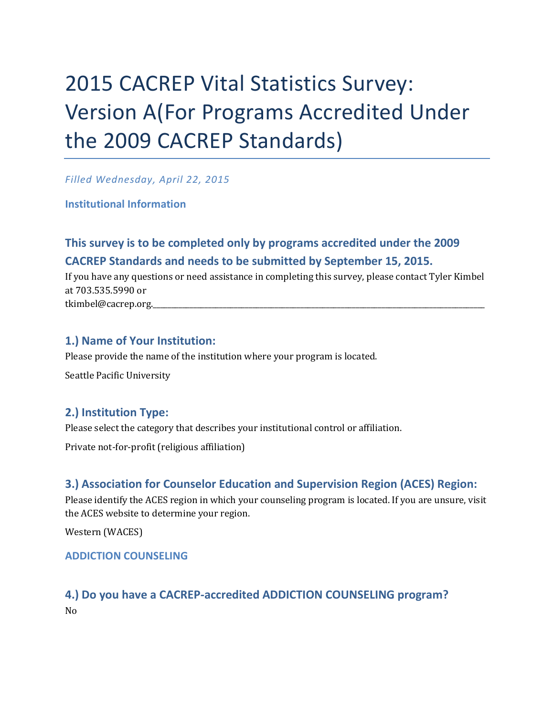# 2015 CACREP Vital Statistics Survey: Version A(For Programs Accredited Under the 2009 CACREP Standards)

*Filled Wednesday, April 22, 2015*

**Institutional Information**

# **This survey is to be completed only by programs accredited under the 2009 CACREP Standards and needs to be submitted by September 15, 2015.**

If you have any questions or need assistance in completing this survey, please contact Tyler Kimbel at 703.535.5990 or tkimbel@cacrep.org.

# **1.) Name of Your Institution:**

Please provide the name of the institution where your program is located. Seattle Pacific University

### **2.) Institution Type:**

Please select the category that describes your institutional control or affiliation.

Private not-for-profit (religious affiliation)

### **3.) Association for Counselor Education and Supervision Region (ACES) Region:**

Please identify the ACES region in which your counseling program is located. If you are unsure, visit the ACES website to determine your region.

Western (WACES)

### **ADDICTION COUNSELING**

### **4.) Do you have a CACREP-accredited ADDICTION COUNSELING program?** No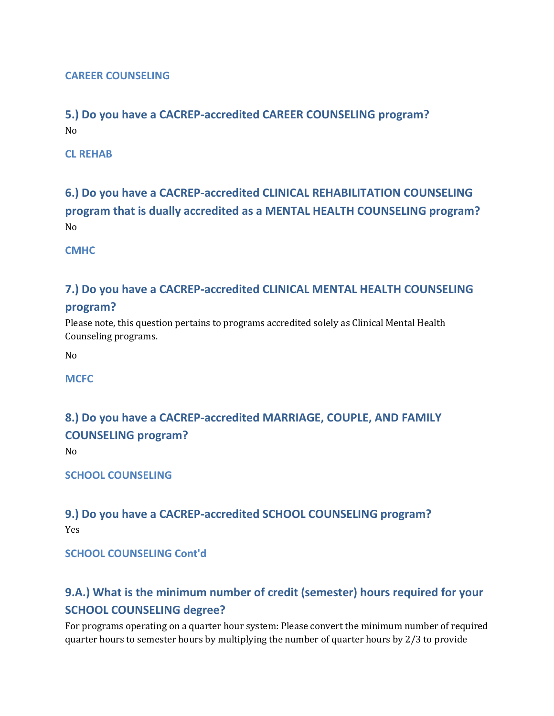### **CAREER COUNSELING**

### **5.) Do you have a CACREP-accredited CAREER COUNSELING program?** No

**CL REHAB**

# **6.) Do you have a CACREP-accredited CLINICAL REHABILITATION COUNSELING program that is dually accredited as a MENTAL HEALTH COUNSELING program?** No

**CMHC**

### **7.) Do you have a CACREP-accredited CLINICAL MENTAL HEALTH COUNSELING**

### **program?**

Please note, this question pertains to programs accredited solely as Clinical Mental Health Counseling programs.

No

**MCFC**

# **8.) Do you have a CACREP-accredited MARRIAGE, COUPLE, AND FAMILY COUNSELING program?**

No

**SCHOOL COUNSELING**

### **9.) Do you have a CACREP-accredited SCHOOL COUNSELING program?** Yes

### **SCHOOL COUNSELING Cont'd**

# **9.A.) What is the minimum number of credit (semester) hours required for your SCHOOL COUNSELING degree?**

For programs operating on a quarter hour system: Please convert the minimum number of required quarter hours to semester hours by multiplying the number of quarter hours by 2/3 to provide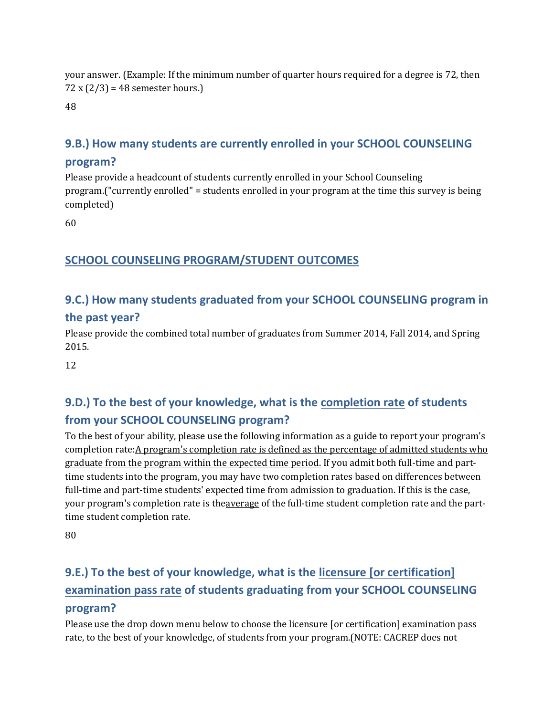your answer. (Example: If the minimum number of quarter hours required for a degree is 72, then 72 x  $(2/3)$  = 48 semester hours.)

48

## **9.B.) How many students are currently enrolled in your SCHOOL COUNSELING**

### **program?**

Please provide a headcount of students currently enrolled in your School Counseling program.("currently enrolled" = students enrolled in your program at the time this survey is being completed)

60

### **SCHOOL COUNSELING PROGRAM/STUDENT OUTCOMES**

# **9.C.) How many students graduated from your SCHOOL COUNSELING program in**

### **the past year?**

Please provide the combined total number of graduates from Summer 2014, Fall 2014, and Spring 2015.

12

# **9.D.) To the best of your knowledge, what is the completion rate of students from your SCHOOL COUNSELING program?**

To the best of your ability, please use the following information as a guide to report your program's completion rate:A program's completion rate is defined as the percentage of admitted students who graduate from the program within the expected time period. If you admit both full-time and parttime students into the program, you may have two completion rates based on differences between full-time and part-time students' expected time from admission to graduation. If this is the case, your program's completion rate is theaverage of the full-time student completion rate and the parttime student completion rate.

80

# **9.E.) To the best of your knowledge, what is the licensure [or certification] examination pass rate of students graduating from your SCHOOL COUNSELING program?**

Please use the drop down menu below to choose the licensure [or certification] examination pass rate, to the best of your knowledge, of students from your program.(NOTE: CACREP does not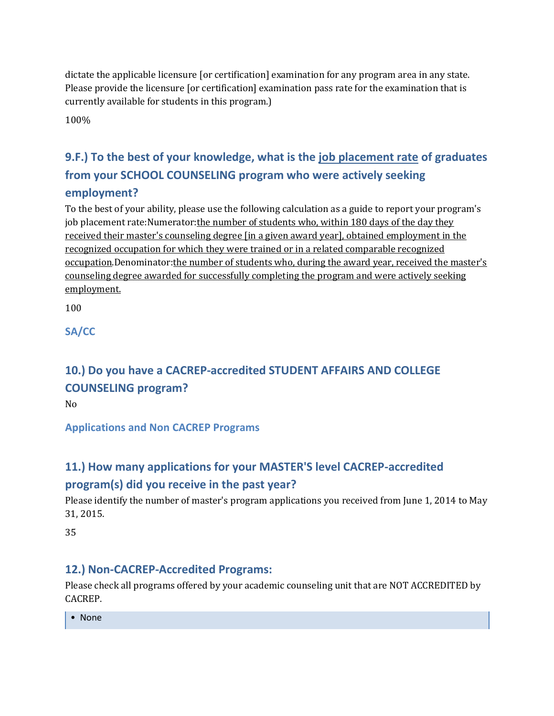dictate the applicable licensure [or certification] examination for any program area in any state. Please provide the licensure [or certification] examination pass rate for the examination that is currently available for students in this program.)

100%

# **9.F.) To the best of your knowledge, what is the job placement rate of graduates from your SCHOOL COUNSELING program who were actively seeking employment?**

To the best of your ability, please use the following calculation as a guide to report your program's job placement rate:Numerator: the number of students who, within 180 days of the day they received their master's counseling degree [in a given award year], obtained employment in the recognized occupation for which they were trained or in a related comparable recognized occupation.Denominator:the number of students who, during the award year, received the master's counseling degree awarded for successfully completing the program and were actively seeking employment.

100

**SA/CC**

# **10.) Do you have a CACREP-accredited STUDENT AFFAIRS AND COLLEGE COUNSELING program?**

No

**Applications and Non CACREP Programs**

# **11.) How many applications for your MASTER'S level CACREP-accredited program(s) did you receive in the past year?**

Please identify the number of master's program applications you received from June 1, 2014 to May 31, 2015.

35

### **12.) Non-CACREP-Accredited Programs:**

Please check all programs offered by your academic counseling unit that are NOT ACCREDITED by CACREP.

• None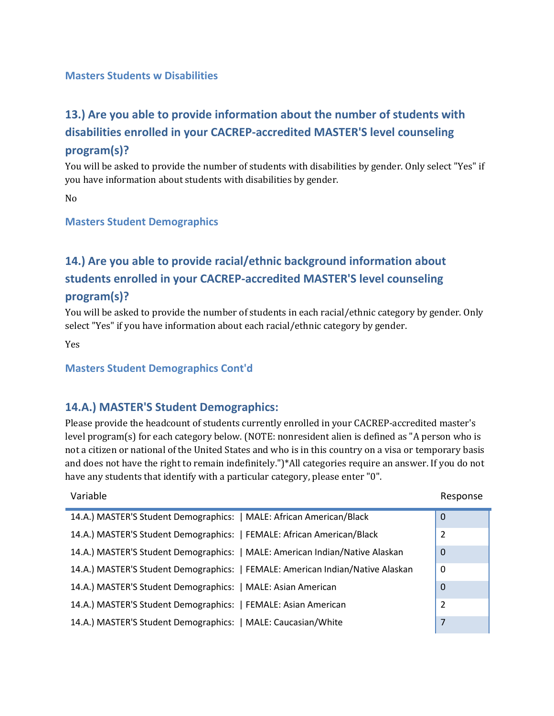#### **Masters Students w Disabilities**

# **13.) Are you able to provide information about the number of students with disabilities enrolled in your CACREP-accredited MASTER'S level counseling program(s)?**

You will be asked to provide the number of students with disabilities by gender. Only select "Yes" if you have information about students with disabilities by gender.

No

#### **Masters Student Demographics**

# **14.) Are you able to provide racial/ethnic background information about students enrolled in your CACREP-accredited MASTER'S level counseling program(s)?**

You will be asked to provide the number of students in each racial/ethnic category by gender. Only select "Yes" if you have information about each racial/ethnic category by gender.

Yes

#### **Masters Student Demographics Cont'd**

### **14.A.) MASTER'S Student Demographics:**

Please provide the headcount of students currently enrolled in your CACREP-accredited master's level program(s) for each category below. (NOTE: nonresident alien is defined as "A person who is not a citizen or national of the United States and who is in this country on a visa or temporary basis and does not have the right to remain indefinitely.")\*All categories require an answer. If you do not have any students that identify with a particular category, please enter "0".

| Variable                                                                       | Response       |
|--------------------------------------------------------------------------------|----------------|
| 14.A.) MASTER'S Student Demographics:   MALE: African American/Black           | $\mathbf 0$    |
| 14.A.) MASTER'S Student Demographics:   FEMALE: African American/Black         | $\overline{2}$ |
| 14.A.) MASTER'S Student Demographics:   MALE: American Indian/Native Alaskan   | $\mathbf 0$    |
| 14.A.) MASTER'S Student Demographics:   FEMALE: American Indian/Native Alaskan | 0              |
| 14.A.) MASTER'S Student Demographics:   MALE: Asian American                   | $\Omega$       |
| 14.A.) MASTER'S Student Demographics:   FEMALE: Asian American                 | 2              |
| 14.A.) MASTER'S Student Demographics:   MALE: Caucasian/White                  | 7              |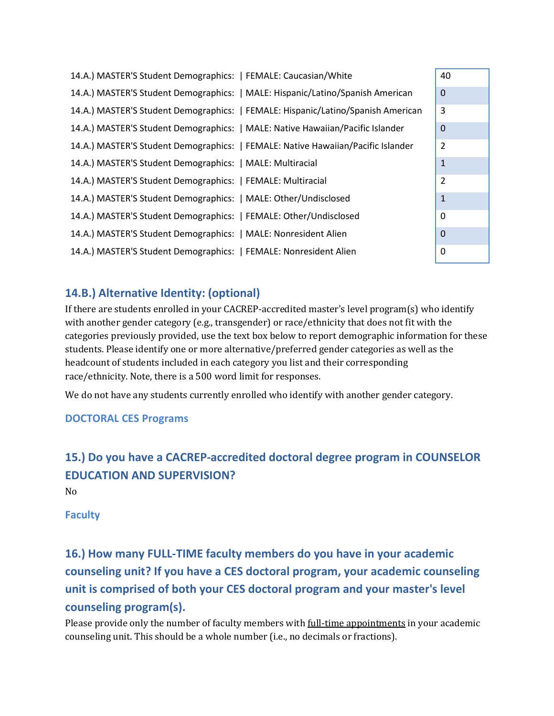| 14.A.) MASTER'S Student Demographics:   FEMALE: Caucasian/White                  | 40             |
|----------------------------------------------------------------------------------|----------------|
| 14.A.) MASTER'S Student Demographics:   MALE: Hispanic/Latino/Spanish American   | $\mathbf 0$    |
| 14.A.) MASTER'S Student Demographics:   FEMALE: Hispanic/Latino/Spanish American | 3              |
| 14.A.) MASTER'S Student Demographics:   MALE: Native Hawaiian/Pacific Islander   | $\mathbf 0$    |
| 14.A.) MASTER'S Student Demographics:   FEMALE: Native Hawaiian/Pacific Islander | $\overline{2}$ |
| 14.A.) MASTER'S Student Demographics:   MALE: Multiracial                        | 1              |
| 14.A.) MASTER'S Student Demographics:   FEMALE: Multiracial                      | $\overline{2}$ |
| 14.A.) MASTER'S Student Demographics:   MALE: Other/Undisclosed                  | $\mathbf{1}$   |
| 14.A.) MASTER'S Student Demographics:   FEMALE: Other/Undisclosed                | $\Omega$       |
| 14.A.) MASTER'S Student Demographics:   MALE: Nonresident Alien                  | $\Omega$       |
| 14.A.) MASTER'S Student Demographics:   FEMALE: Nonresident Alien                | 0              |

### **14.B.) Alternative Identity: (optional)**

If there are students enrolled in your CACREP-accredited master's level program(s) who identify with another gender category (e.g., transgender) or race/ethnicity that does not fit with the categories previously provided, use the text box below to report demographic information for these students. Please identify one or more alternative/preferred gender categories as well as the headcount of students included in each category you list and their corresponding race/ethnicity. Note, there is a 500 word limit for responses.

We do not have any students currently enrolled who identify with another gender category.

### **DOCTORAL CES Programs**

# **15.) Do you have a CACREP-accredited doctoral degree program in COUNSELOR EDUCATION AND SUPERVISION?**

No

**Faculty**

# **16.) How many FULL-TIME faculty members do you have in your academic counseling unit? If you have a CES doctoral program, your academic counseling unit is comprised of both your CES doctoral program and your master's level counseling program(s).**

Please provide only the number of faculty members with <u>full-time appointments</u> in your academic counseling unit. This should be a whole number (i.e., no decimals or fractions).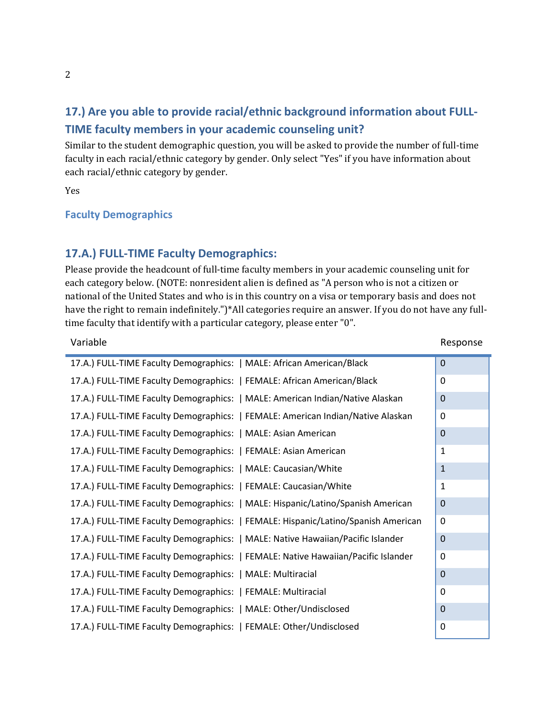# **17.) Are you able to provide racial/ethnic background information about FULL-TIME faculty members in your academic counseling unit?**

Similar to the student demographic question, you will be asked to provide the number of full-time faculty in each racial/ethnic category by gender. Only select "Yes" if you have information about each racial/ethnic category by gender.

Yes

#### **Faculty Demographics**

### **17.A.) FULL-TIME Faculty Demographics:**

Please provide the headcount of full-time faculty members in your academic counseling unit for each category below. (NOTE: nonresident alien is defined as "A person who is not a citizen or national of the United States and who is in this country on a visa or temporary basis and does not have the right to remain indefinitely.")\*All categories require an answer. If you do not have any fulltime faculty that identify with a particular category, please enter "0".

| Variable                                                                          |                | Response |
|-----------------------------------------------------------------------------------|----------------|----------|
| 17.A.) FULL-TIME Faculty Demographics:   MALE: African American/Black             | $\overline{0}$ |          |
| 17.A.) FULL-TIME Faculty Demographics:   FEMALE: African American/Black           | 0              |          |
| 17.A.) FULL-TIME Faculty Demographics:   MALE: American Indian/Native Alaskan     | $\Omega$       |          |
| 17.A.) FULL-TIME Faculty Demographics:   FEMALE: American Indian/Native Alaskan   | 0              |          |
| 17.A.) FULL-TIME Faculty Demographics:   MALE: Asian American                     | $\mathbf 0$    |          |
| 17.A.) FULL-TIME Faculty Demographics:   FEMALE: Asian American                   | 1              |          |
| 17.A.) FULL-TIME Faculty Demographics:   MALE: Caucasian/White                    | $\mathbf{1}$   |          |
| 17.A.) FULL-TIME Faculty Demographics:   FEMALE: Caucasian/White                  | $\mathbf{1}$   |          |
| 17.A.) FULL-TIME Faculty Demographics:   MALE: Hispanic/Latino/Spanish American   | 0              |          |
| 17.A.) FULL-TIME Faculty Demographics:   FEMALE: Hispanic/Latino/Spanish American | 0              |          |
| 17.A.) FULL-TIME Faculty Demographics:   MALE: Native Hawaiian/Pacific Islander   | 0              |          |
| 17.A.) FULL-TIME Faculty Demographics:   FEMALE: Native Hawaiian/Pacific Islander | 0              |          |
| 17.A.) FULL-TIME Faculty Demographics:   MALE: Multiracial                        | 0              |          |
| 17.A.) FULL-TIME Faculty Demographics:   FEMALE: Multiracial                      | $\mathbf 0$    |          |
| 17.A.) FULL-TIME Faculty Demographics:   MALE: Other/Undisclosed                  | $\mathbf 0$    |          |
| 17.A.) FULL-TIME Faculty Demographics:   FEMALE: Other/Undisclosed                | $\pmb{0}$      |          |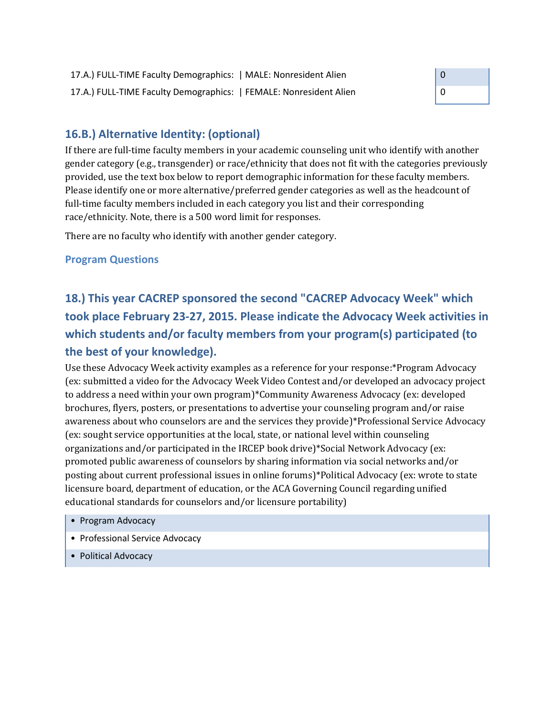

### **16.B.) Alternative Identity: (optional)**

If there are full-time faculty members in your academic counseling unit who identify with another gender category (e.g., transgender) or race/ethnicity that does not fit with the categories previously provided, use the text box below to report demographic information for these faculty members. Please identify one or more alternative/preferred gender categories as well as the headcount of full-time faculty members included in each category you list and their corresponding race/ethnicity. Note, there is a 500 word limit for responses.

There are no faculty who identify with another gender category.

#### **Program Questions**

**18.) This year CACREP sponsored the second "CACREP Advocacy Week" which took place February 23-27, 2015. Please indicate the Advocacy Week activities in which students and/or faculty members from your program(s) participated (to the best of your knowledge).**

Use these Advocacy Week activity examples as a reference for your response:\*Program Advocacy (ex: submitted a video for the Advocacy Week Video Contest and/or developed an advocacy project to address a need within your own program)\*Community Awareness Advocacy (ex: developed brochures, flyers, posters, or presentations to advertise your counseling program and/or raise awareness about who counselors are and the services they provide)\*Professional Service Advocacy (ex: sought service opportunities at the local, state, or national level within counseling organizations and/or participated in the IRCEP book drive)\*Social Network Advocacy (ex: promoted public awareness of counselors by sharing information via social networks and/or posting about current professional issues in online forums)\*Political Advocacy (ex: wrote to state licensure board, department of education, or the ACA Governing Council regarding unified educational standards for counselors and/or licensure portability)

- Program Advocacy
- Professional Service Advocacy
- Political Advocacy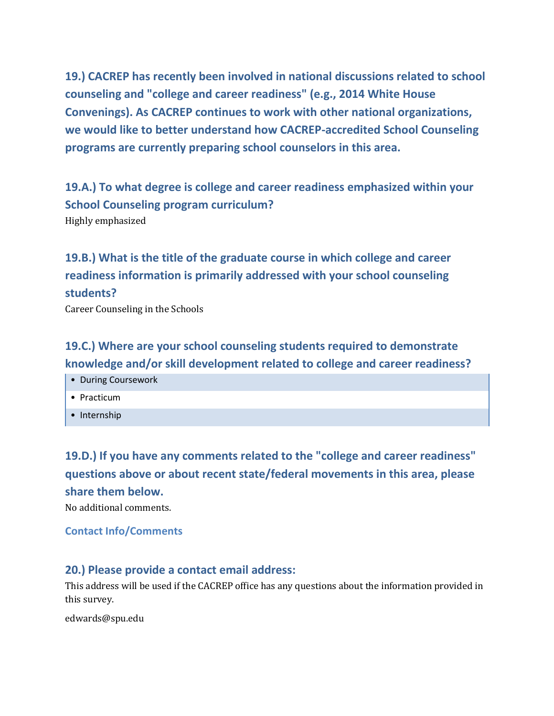**19.) CACREP has recently been involved in national discussions related to school counseling and "college and career readiness" (e.g., 2014 White House Convenings). As CACREP continues to work with other national organizations, we would like to better understand how CACREP-accredited School Counseling programs are currently preparing school counselors in this area.**

**19.A.) To what degree is college and career readiness emphasized within your School Counseling program curriculum?** Highly emphasized

**19.B.) What is the title of the graduate course in which college and career readiness information is primarily addressed with your school counseling students?**

Career Counseling in the Schools

# **19.C.) Where are your school counseling students required to demonstrate knowledge and/or skill development related to college and career readiness?**

- During Coursework
- Practicum
- Internship

**19.D.) If you have any comments related to the "college and career readiness" questions above or about recent state/federal movements in this area, please share them below.**

No additional comments.

#### **Contact Info/Comments**

### **20.) Please provide a contact email address:**

This address will be used if the CACREP office has any questions about the information provided in this survey.

edwards@spu.edu